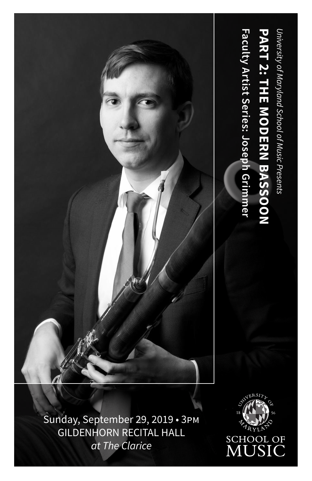

Sunday, September 29, 2019 • 3pm GILDENHORN RECITAL HALL *at The Clarice*

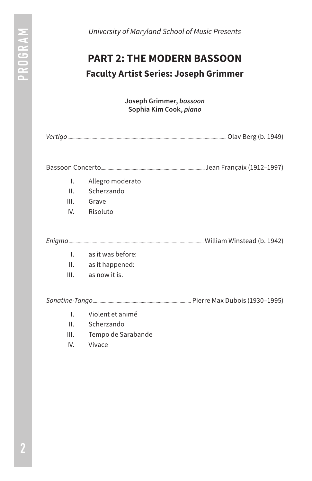*University of Maryland School of Music Presents*

# **PART 2: THE MODERN BASSOON Faculty Artist Series: Joseph Grimmer**

**Joseph Grimmer,** *bassoon* **Sophia Kim Cook,** *piano*

| Vertigo |  |  |  |
|---------|--|--|--|
|---------|--|--|--|

Bassoon Concerto*...........................................................................................*Jean Françaix (1912–1997)

- I. Allegro moderato
- II. Scherzando
- III. Grave
- IV. Risoluto

*Enigma......................................................................................................................*William Winstead (b. 1942)

- I. as it was before:
- II. as it happened:
- III. as now it is.

*Sonatine-Tango......................................................................................*Pierre Max Dubois (1930–1995)

- I. Violent et animé
- II. Scherzando
- III. Tempo de Sarabande
- IV. Vivace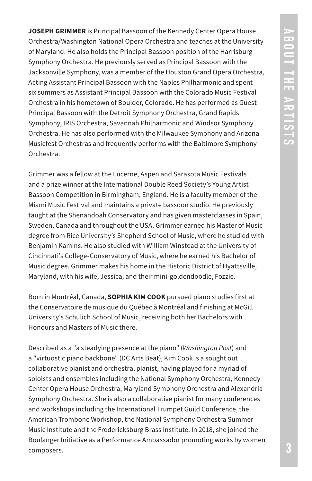**JOSEPH GRIMMER** is Principal Bassoon of the Kennedy Center Opera House Orchestra/Washington National Opera Orchestra and teaches at the University of Maryland. He also holds the Principal Bassoon position of the Harrisburg Symphony Orchestra. He previously served as Principal Bassoon with the Jacksonville Symphony, was a member of the Houston Grand Opera Orchestra, Acting Assistant Principal Bassoon with the Naples Philharmonic and spent six summers as Assistant Principal Bassoon with the Colorado Music Festival Orchestra in his hometown of Boulder, Colorado. He has performed as Guest Principal Bassoon with the Detroit Symphony Orchestra, Grand Rapids Symphony, IRIS Orchestra, Savannah Philharmonic and Windsor Symphony Orchestra. He has also performed with the Milwaukee Symphony and Arizona Musicfest Orchestras and frequently performs with the Baltimore Symphony Orchestra.

Grimmer was a fellow at the Lucerne, Aspen and Sarasota Music Festivals and a prize winner at the International Double Reed Society's Young Artist Bassoon Competition in Birmingham, England. He is a faculty member of the Miami Music Festival and maintains a private bassoon studio. He previously taught at the Shenandoah Conservatory and has given masterclasses in Spain, Sweden, Canada and throughout the USA. Grimmer earned his Master of Music degree from Rice University's Shepherd School of Music, where he studied with Benjamin Kamins. He also studied with William Winstead at the University of Cincinnati's College-Conservatory of Music, where he earned his Bachelor of Music degree. Grimmer makes his home in the Historic District of Hyattsville, Maryland, with his wife, Jessica, and their mini-goldendoodle, Fozzie.

Born in Montréal, Canada, **SOPHIA KIM COOK** pursued piano studies first at the Conservatoire de musique du Québec à Montréal and finishing at McGill University's Schulich School of Music, receiving both her Bachelors with Honours and Masters of Music there.

Described as a "a steadying presence at the piano" (*Washington Post*) and a "virtuostic piano backbone" (DC Arts Beat), Kim Cook is a sought out collaborative pianist and orchestral pianist, having played for a myriad of soloists and ensembles including the National Symphony Orchestra, Kennedy Center Opera House Orchestra, Maryland Symphony Orchestra and Alexandria Symphony Orchestra. She is also a collaborative pianist for many conferences and workshops including the International Trumpet Guild Conference, the American Trombone Workshop, the National Symphony Orchestra Summer Music Institute and the Fredericksburg Brass Institute. In 2018, she joined the Boulanger Initiative as a Performance Ambassador promoting works by women composers.